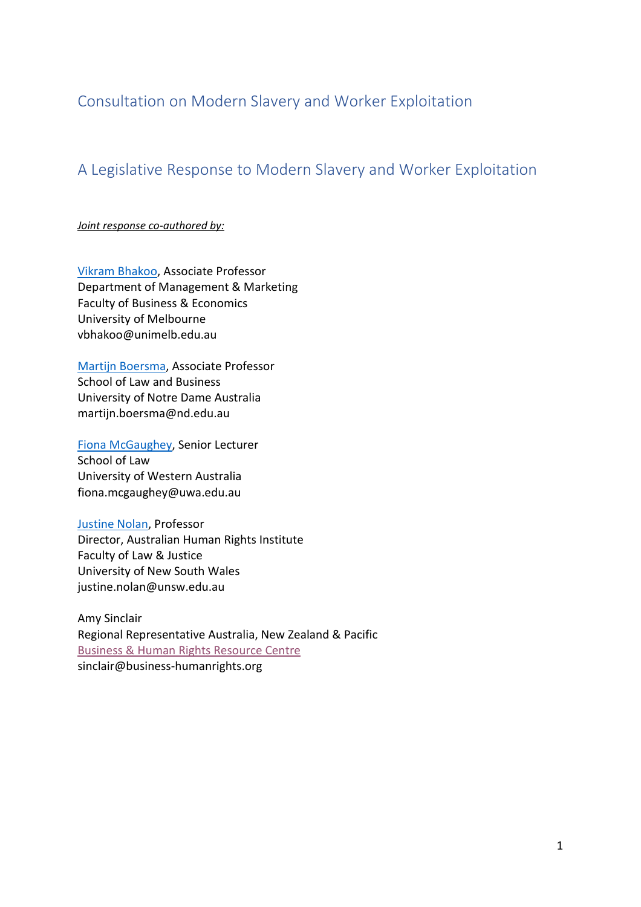Consultation on Modern Slavery and Worker Exploitation

## A Legislative Response to Modern Slavery and Worker Exploitation

*Joint response co-authored by:*

[Vikram Bhakoo,](https://fbe.unimelb.edu.au/our-people/staff/management-and-marketing/vikram-bhakoo) Associate Professor Department of Management & Marketing Faculty of Business & Economics University of Melbourne vbhakoo@unimelb.edu.au

[Martijn Boersma,](https://www.notredame.edu.au/about/schools/sydney/business/school-staff/martijn-boersma) Associate Professor School of Law and Business University of Notre Dame Australia martijn.boersma@nd.edu.au

[Fiona McGaughey,](https://www.uwa.edu.au/Profile/Fiona-McGaughey) Senior Lecturer School of Law University of Western Australia fiona.mcgaughey@uwa.edu.au

[Justine Nolan,](https://www.unsw.edu.au/staff/justine-nolan) Professor Director, Australian Human Rights Institute Faculty of Law & Justice University of New South Wales justine.nolan@unsw.edu.au

Amy Sinclair Regional Representative Australia, New Zealand & Pacific [Business & Human Rights Resource Centre](http://www.business-humanrights.org/) sinclair@business-humanrights.org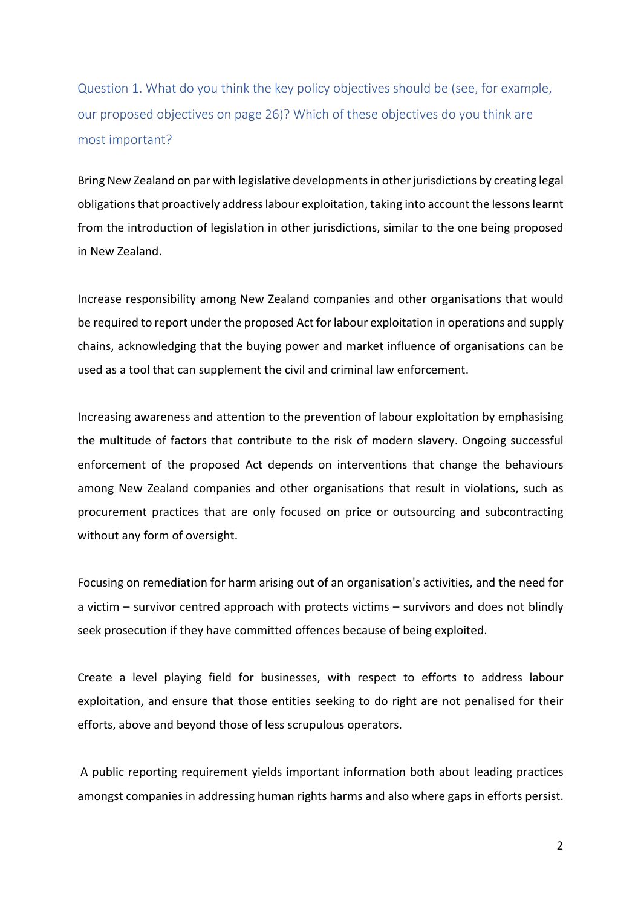Question 1. What do you think the key policy objectives should be (see, for example, our proposed objectives on page 26)? Which of these objectives do you think are most important?

Bring New Zealand on par with legislative developments in other jurisdictions by creating legal obligations that proactively address labour exploitation, taking into account the lessons learnt from the introduction of legislation in other jurisdictions, similar to the one being proposed in New Zealand.

Increase responsibility among New Zealand companies and other organisations that would be required to report under the proposed Act for labour exploitation in operations and supply chains, acknowledging that the buying power and market influence of organisations can be used as a tool that can supplement the civil and criminal law enforcement.

Increasing awareness and attention to the prevention of labour exploitation by emphasising the multitude of factors that contribute to the risk of modern slavery. Ongoing successful enforcement of the proposed Act depends on interventions that change the behaviours among New Zealand companies and other organisations that result in violations, such as procurement practices that are only focused on price or outsourcing and subcontracting without any form of oversight.

Focusing on remediation for harm arising out of an organisation's activities, and the need for a victim – survivor centred approach with protects victims – survivors and does not blindly seek prosecution if they have committed offences because of being exploited.

Create a level playing field for businesses, with respect to efforts to address labour exploitation, and ensure that those entities seeking to do right are not penalised for their efforts, above and beyond those of less scrupulous operators.

A public reporting requirement yields important information both about leading practices amongst companies in addressing human rights harms and also where gaps in efforts persist.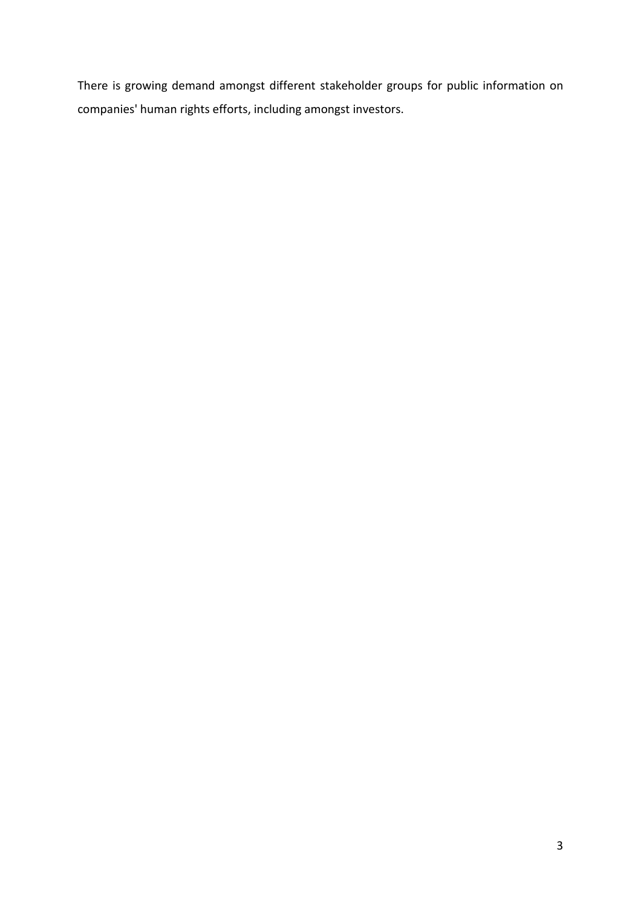There is growing demand amongst different stakeholder groups for public information on companies' human rights efforts, including amongst investors.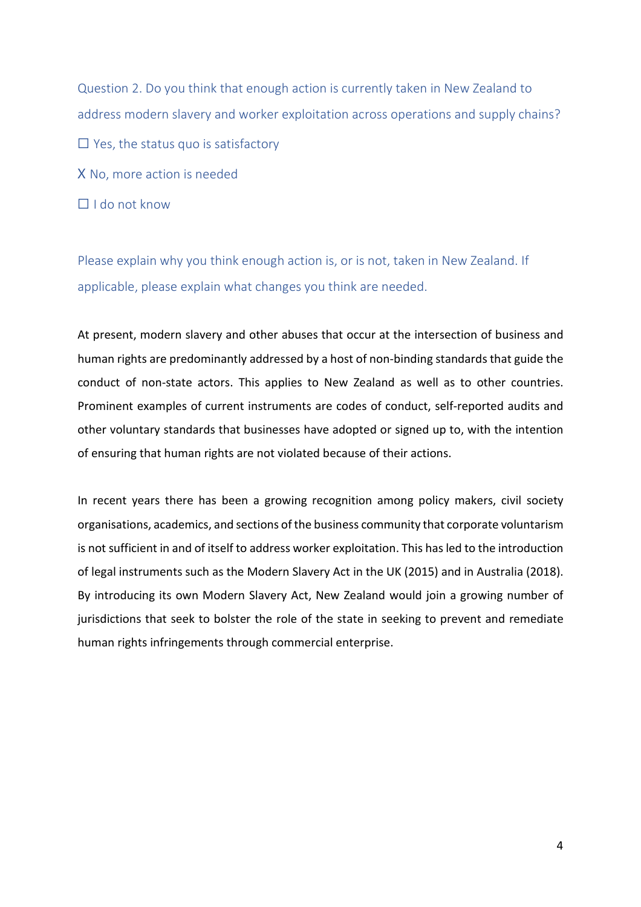Question 2. Do you think that enough action is currently taken in New Zealand to address modern slavery and worker exploitation across operations and supply chains?  $\Box$  Yes, the status quo is satisfactory X No, more action is needed

 $\Box$  I do not know

Please explain why you think enough action is, or is not, taken in New Zealand. If applicable, please explain what changes you think are needed.

At present, modern slavery and other abuses that occur at the intersection of business and human rights are predominantly addressed by a host of non-binding standards that guide the conduct of non-state actors. This applies to New Zealand as well as to other countries. Prominent examples of current instruments are codes of conduct, self-reported audits and other voluntary standards that businesses have adopted or signed up to, with the intention of ensuring that human rights are not violated because of their actions.

In recent years there has been a growing recognition among policy makers, civil society organisations, academics, and sections of the business community that corporate voluntarism is not sufficient in and of itself to address worker exploitation. This hasled to the introduction of legal instruments such as the Modern Slavery Act in the UK (2015) and in Australia (2018). By introducing its own Modern Slavery Act, New Zealand would join a growing number of jurisdictions that seek to bolster the role of the state in seeking to prevent and remediate human rights infringements through commercial enterprise.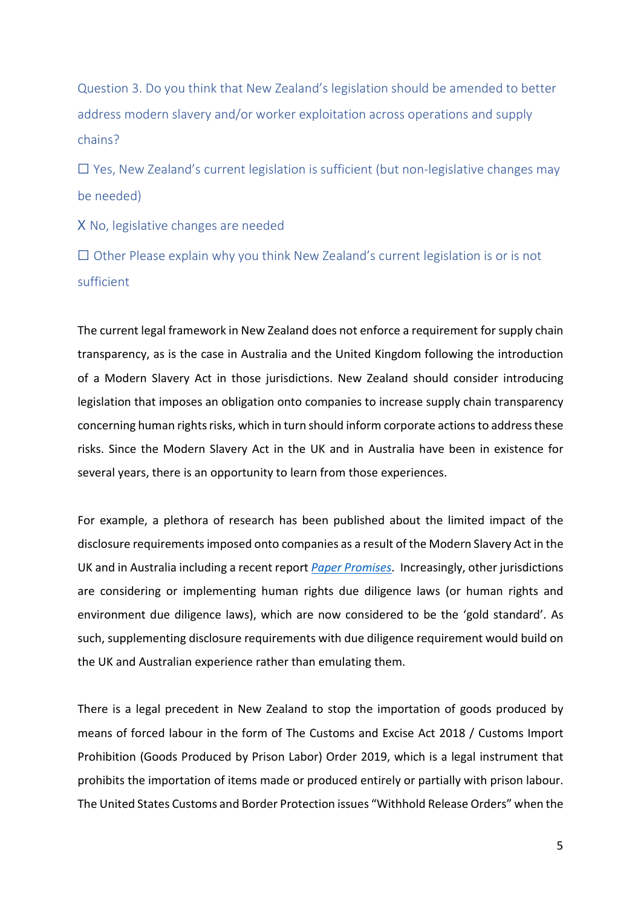Question 3. Do you think that New Zealand's legislation should be amended to better address modern slavery and/or worker exploitation across operations and supply chains?

 $\Box$  Yes, New Zealand's current legislation is sufficient (but non-legislative changes may be needed)

X No, legislative changes are needed

 $\Box$  Other Please explain why you think New Zealand's current legislation is or is not sufficient

The current legal framework in New Zealand does not enforce a requirement for supply chain transparency, as is the case in Australia and the United Kingdom following the introduction of a Modern Slavery Act in those jurisdictions. New Zealand should consider introducing legislation that imposes an obligation onto companies to increase supply chain transparency concerning human rights risks, which in turn should inform corporate actions to address these risks. Since the Modern Slavery Act in the UK and in Australia have been in existence for several years, there is an opportunity to learn from those experiences.

For example, a plethora of research has been published about the limited impact of the disclosure requirements imposed onto companies as a result of the Modern Slavery Act in the UK and in Australia including a recent report *[Paper Promises](https://www.humanrights.unsw.edu.au/news/new-report-shows-companies-failing-comply-modern-slavery-laws)*. Increasingly, other jurisdictions are considering or implementing human rights due diligence laws (or human rights and environment due diligence laws), which are now considered to be the 'gold standard'. As such, supplementing disclosure requirements with due diligence requirement would build on the UK and Australian experience rather than emulating them.

There is a legal precedent in New Zealand to stop the importation of goods produced by means of forced labour in the form of The Customs and Excise Act 2018 / Customs Import Prohibition (Goods Produced by Prison Labor) Order 2019, which is a legal instrument that prohibits the importation of items made or produced entirely or partially with prison labour. The United States Customs and Border Protection issues "Withhold Release Orders" when the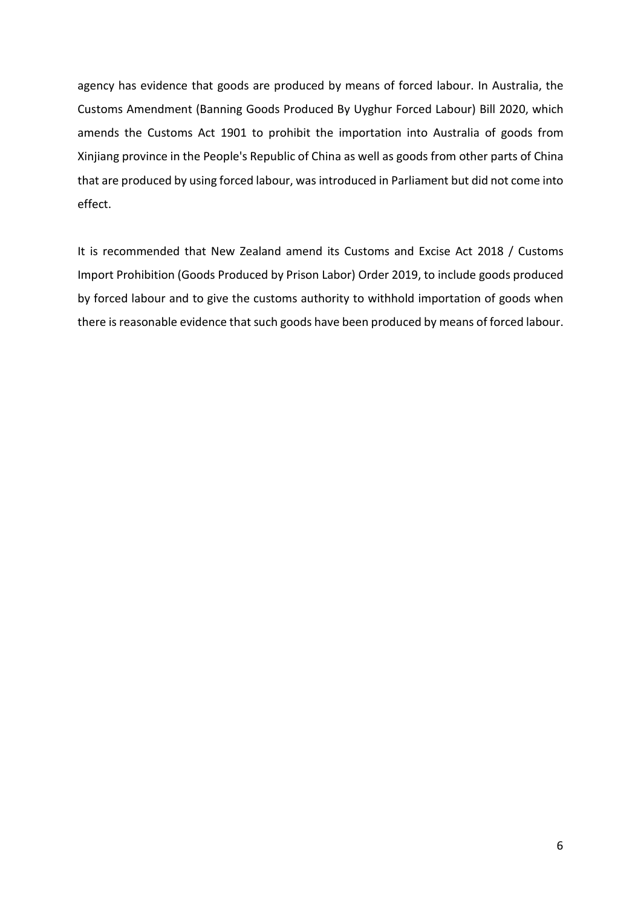agency has evidence that goods are produced by means of forced labour. In Australia, the Customs Amendment (Banning Goods Produced By Uyghur Forced Labour) Bill 2020, which amends the Customs Act 1901 to prohibit the importation into Australia of goods from Xinjiang province in the People's Republic of China as well as goods from other parts of China that are produced by using forced labour, was introduced in Parliament but did not come into effect.

It is recommended that New Zealand amend its Customs and Excise Act 2018 / Customs Import Prohibition (Goods Produced by Prison Labor) Order 2019, to include goods produced by forced labour and to give the customs authority to withhold importation of goods when there is reasonable evidence that such goods have been produced by means of forced labour.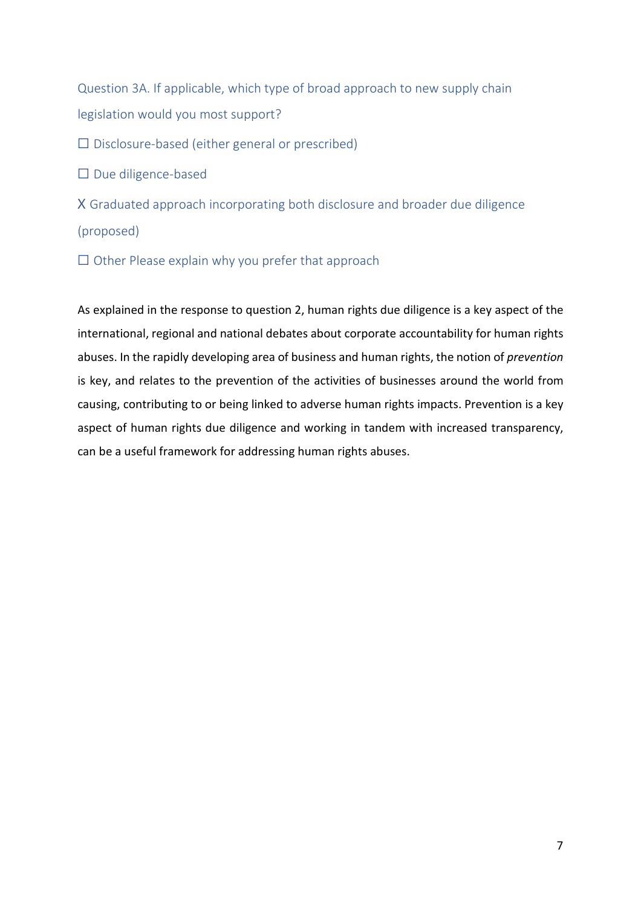Question 3A. If applicable, which type of broad approach to new supply chain legislation would you most support?

 $\Box$  Disclosure-based (either general or prescribed)

☐ Due diligence-based

X Graduated approach incorporating both disclosure and broader due diligence (proposed)

 $\Box$  Other Please explain why you prefer that approach

As explained in the response to question 2, human rights due diligence is a key aspect of the international, regional and national debates about corporate accountability for human rights abuses. In the rapidly developing area of business and human rights, the notion of *prevention* is key, and relates to the prevention of the activities of businesses around the world from causing, contributing to or being linked to adverse human rights impacts. Prevention is a key aspect of human rights due diligence and working in tandem with increased transparency, can be a useful framework for addressing human rights abuses.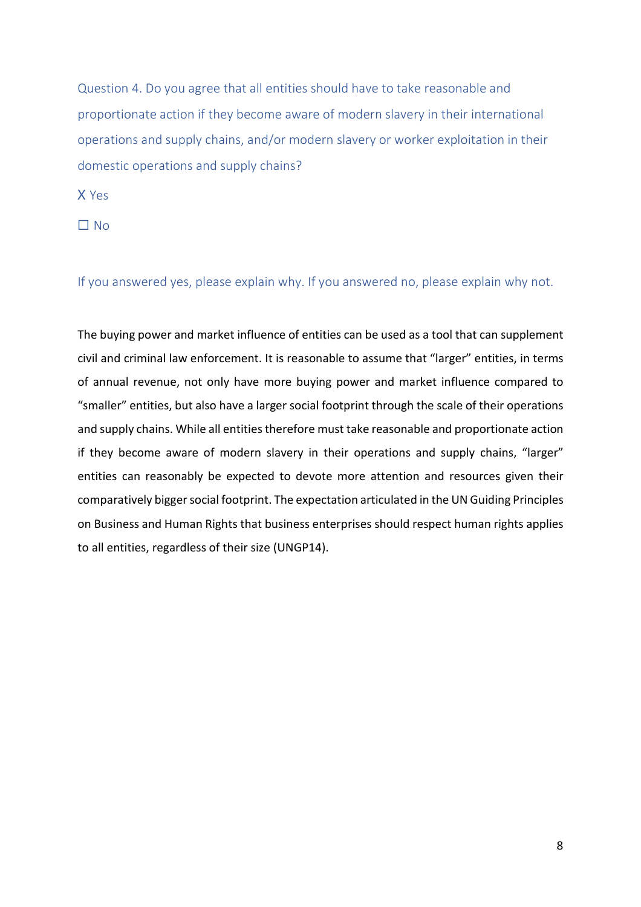Question 4. Do you agree that all entities should have to take reasonable and proportionate action if they become aware of modern slavery in their international operations and supply chains, and/or modern slavery or worker exploitation in their domestic operations and supply chains?

X Yes

☐ No

If you answered yes, please explain why. If you answered no, please explain why not.

The buying power and market influence of entities can be used as a tool that can supplement civil and criminal law enforcement. It is reasonable to assume that "larger" entities, in terms of annual revenue, not only have more buying power and market influence compared to "smaller" entities, but also have a larger social footprint through the scale of their operations and supply chains. While all entities therefore must take reasonable and proportionate action if they become aware of modern slavery in their operations and supply chains, "larger" entities can reasonably be expected to devote more attention and resources given their comparatively bigger social footprint. The expectation articulated in the UN Guiding Principles on Business and Human Rights that business enterprises should respect human rights applies to all entities, regardless of their size (UNGP14).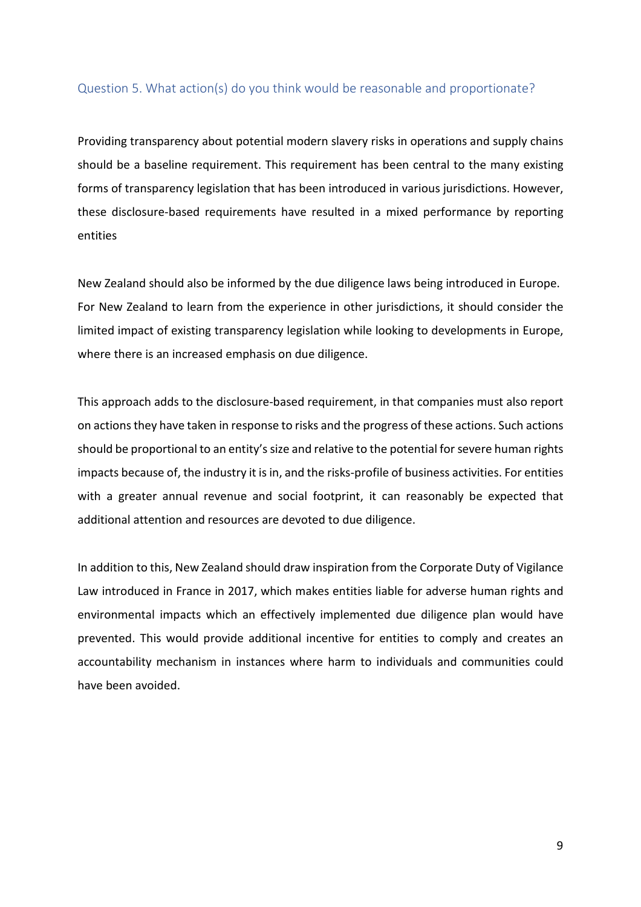### Question 5. What action(s) do you think would be reasonable and proportionate?

Providing transparency about potential modern slavery risks in operations and supply chains should be a baseline requirement. This requirement has been central to the many existing forms of transparency legislation that has been introduced in various jurisdictions. However, these disclosure-based requirements have resulted in a mixed performance by reporting entities

New Zealand should also be informed by the due diligence laws being introduced in Europe. For New Zealand to learn from the experience in other jurisdictions, it should consider the limited impact of existing transparency legislation while looking to developments in Europe, where there is an increased emphasis on due diligence.

This approach adds to the disclosure-based requirement, in that companies must also report on actions they have taken in response to risks and the progress of these actions. Such actions should be proportional to an entity's size and relative to the potential for severe human rights impacts because of, the industry it is in, and the risks-profile of business activities. For entities with a greater annual revenue and social footprint, it can reasonably be expected that additional attention and resources are devoted to due diligence.

In addition to this, New Zealand should draw inspiration from the Corporate Duty of Vigilance Law introduced in France in 2017, which makes entities liable for adverse human rights and environmental impacts which an effectively implemented due diligence plan would have prevented. This would provide additional incentive for entities to comply and creates an accountability mechanism in instances where harm to individuals and communities could have been avoided.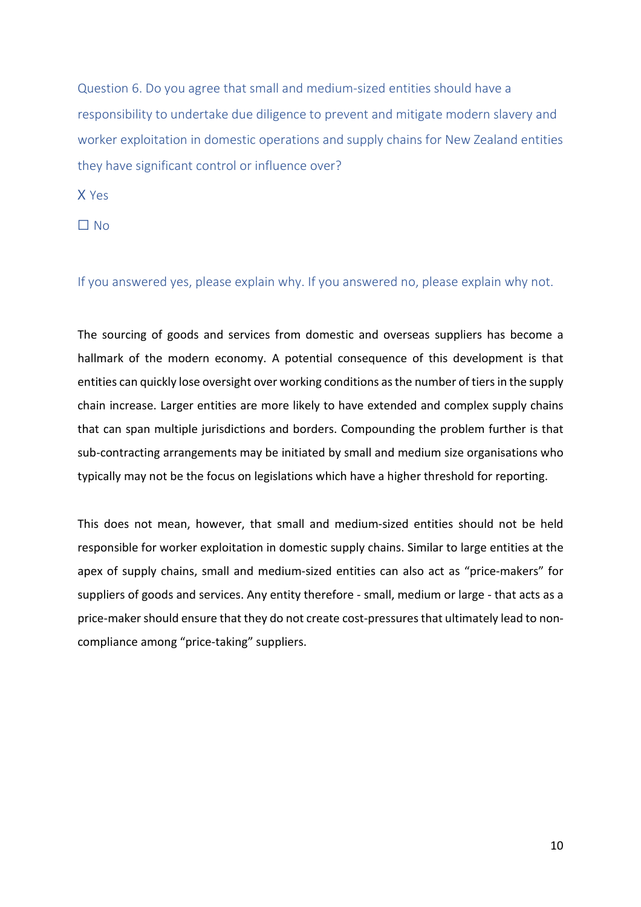Question 6. Do you agree that small and medium-sized entities should have a responsibility to undertake due diligence to prevent and mitigate modern slavery and worker exploitation in domestic operations and supply chains for New Zealand entities they have significant control or influence over?

X Yes

☐ No

If you answered yes, please explain why. If you answered no, please explain why not.

The sourcing of goods and services from domestic and overseas suppliers has become a hallmark of the modern economy. A potential consequence of this development is that entities can quickly lose oversight over working conditions as the number of tiers in the supply chain increase. Larger entities are more likely to have extended and complex supply chains that can span multiple jurisdictions and borders. Compounding the problem further is that sub-contracting arrangements may be initiated by small and medium size organisations who typically may not be the focus on legislations which have a higher threshold for reporting.

This does not mean, however, that small and medium-sized entities should not be held responsible for worker exploitation in domestic supply chains. Similar to large entities at the apex of supply chains, small and medium-sized entities can also act as "price-makers" for suppliers of goods and services. Any entity therefore - small, medium or large - that acts as a price-maker should ensure that they do not create cost-pressures that ultimately lead to noncompliance among "price-taking" suppliers.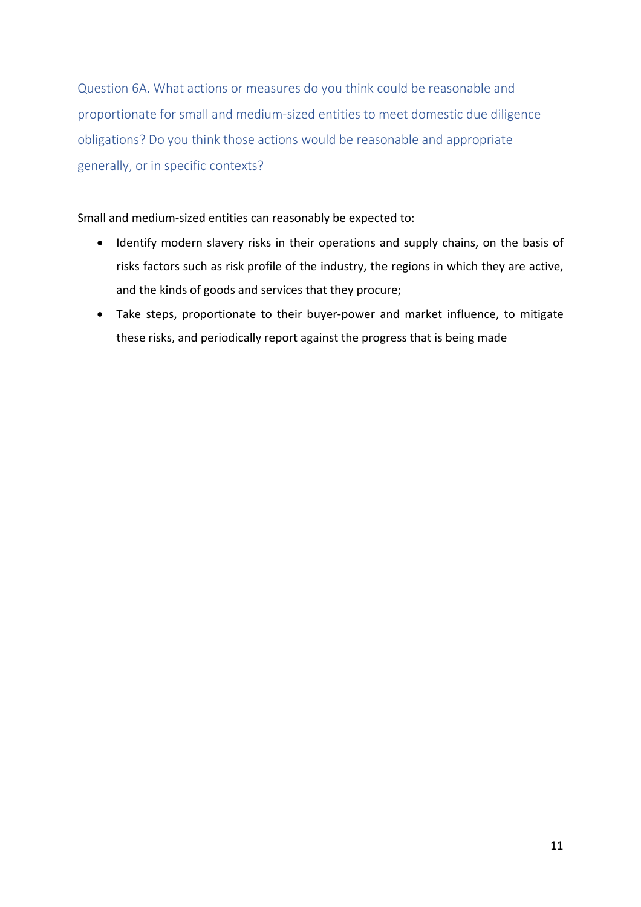Question 6A. What actions or measures do you think could be reasonable and proportionate for small and medium-sized entities to meet domestic due diligence obligations? Do you think those actions would be reasonable and appropriate generally, or in specific contexts?

Small and medium-sized entities can reasonably be expected to:

- Identify modern slavery risks in their operations and supply chains, on the basis of risks factors such as risk profile of the industry, the regions in which they are active, and the kinds of goods and services that they procure;
- Take steps, proportionate to their buyer-power and market influence, to mitigate these risks, and periodically report against the progress that is being made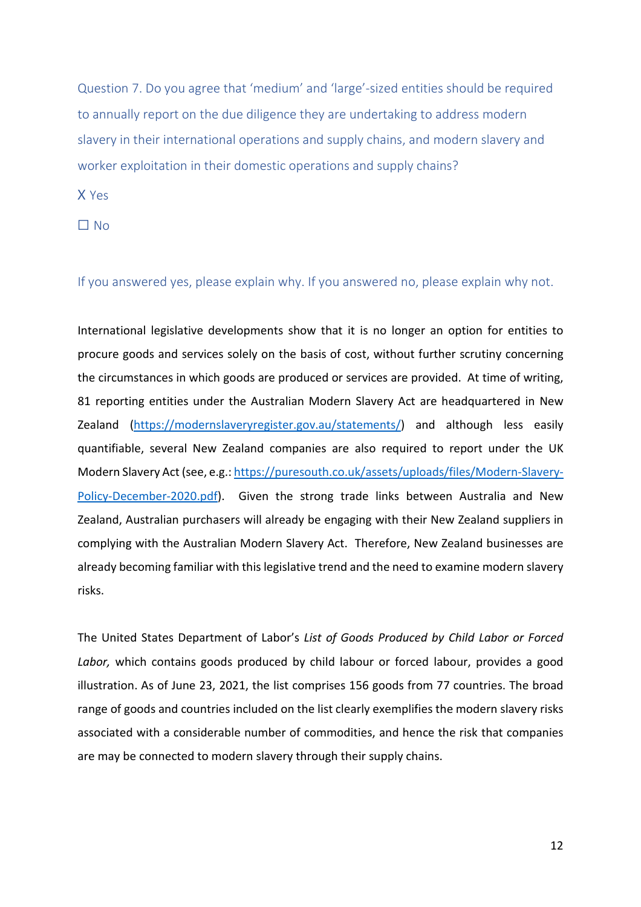Question 7. Do you agree that 'medium' and 'large'-sized entities should be required to annually report on the due diligence they are undertaking to address modern slavery in their international operations and supply chains, and modern slavery and worker exploitation in their domestic operations and supply chains?

X Yes

☐ No

If you answered yes, please explain why. If you answered no, please explain why not.

International legislative developments show that it is no longer an option for entities to procure goods and services solely on the basis of cost, without further scrutiny concerning the circumstances in which goods are produced or services are provided. At time of writing, 81 reporting entities under the Australian Modern Slavery Act are headquartered in New Zealand [\(https://modernslaveryregister.gov.au/statements/\)](https://modernslaveryregister.gov.au/statements/) and although less easily quantifiable, several New Zealand companies are also required to report under the UK Modern Slavery Act (see, e.g.[: https://puresouth.co.uk/assets/uploads/files/Modern-Slavery-](https://puresouth.co.uk/assets/uploads/files/Modern-Slavery-Policy-December-2020.pdf)[Policy-December-2020.pdf\)](https://puresouth.co.uk/assets/uploads/files/Modern-Slavery-Policy-December-2020.pdf). Given the strong trade links between Australia and New Zealand, Australian purchasers will already be engaging with their New Zealand suppliers in complying with the Australian Modern Slavery Act. Therefore, New Zealand businesses are already becoming familiar with this legislative trend and the need to examine modern slavery risks.

The United States Department of Labor's *List of Goods Produced by Child Labor or Forced*  Labor, which contains goods produced by child labour or forced labour, provides a good illustration. As of June 23, 2021, the list comprises 156 goods from 77 countries. The broad range of goods and countries included on the list clearly exemplifies the modern slavery risks associated with a considerable number of commodities, and hence the risk that companies are may be connected to modern slavery through their supply chains.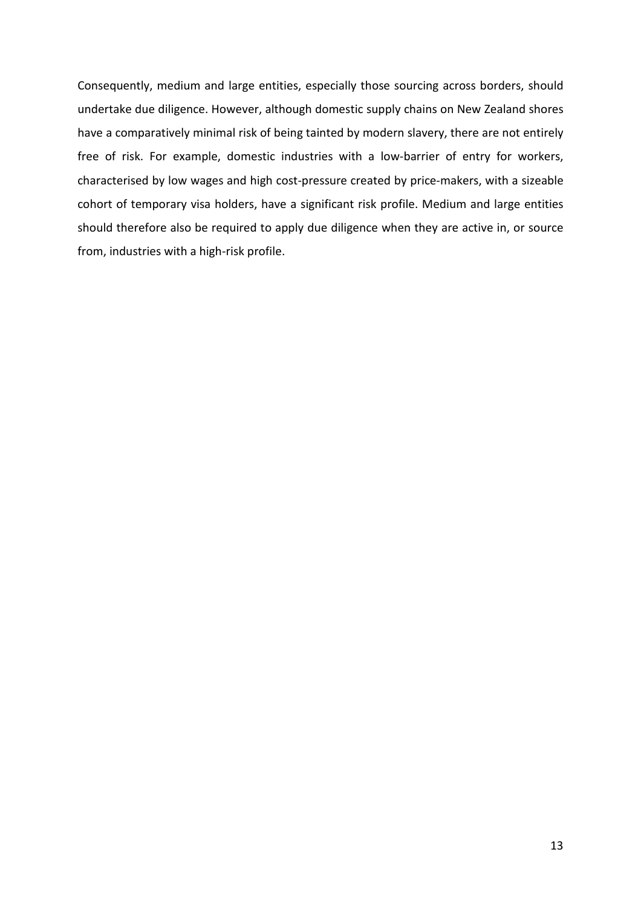Consequently, medium and large entities, especially those sourcing across borders, should undertake due diligence. However, although domestic supply chains on New Zealand shores have a comparatively minimal risk of being tainted by modern slavery, there are not entirely free of risk. For example, domestic industries with a low-barrier of entry for workers, characterised by low wages and high cost-pressure created by price-makers, with a sizeable cohort of temporary visa holders, have a significant risk profile. Medium and large entities should therefore also be required to apply due diligence when they are active in, or source from, industries with a high-risk profile.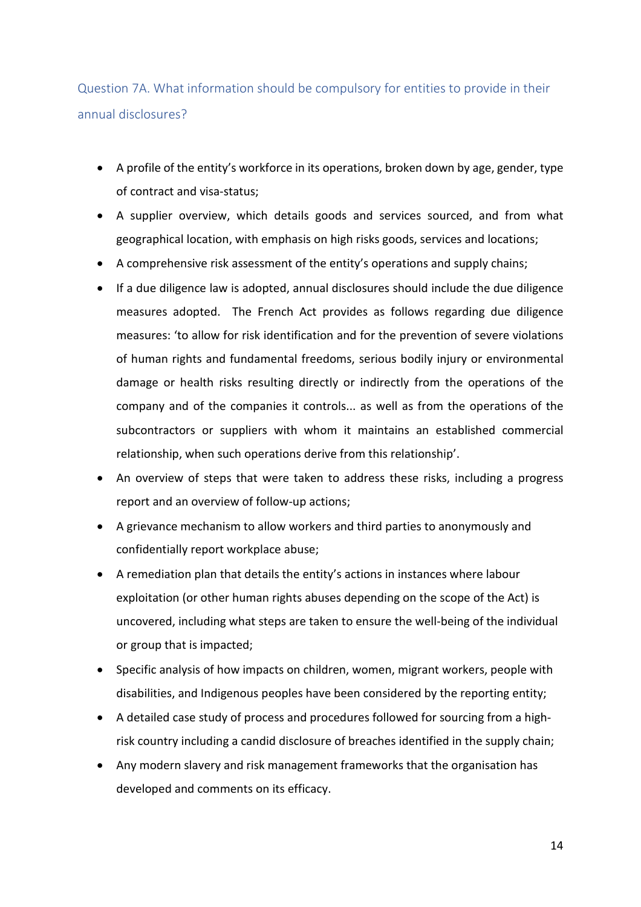Question 7A. What information should be compulsory for entities to provide in their annual disclosures?

- A profile of the entity's workforce in its operations, broken down by age, gender, type of contract and visa-status;
- A supplier overview, which details goods and services sourced, and from what geographical location, with emphasis on high risks goods, services and locations;
- A comprehensive risk assessment of the entity's operations and supply chains;
- If a due diligence law is adopted, annual disclosures should include the due diligence measures adopted. The French Act provides as follows regarding due diligence measures: 'to allow for risk identification and for the prevention of severe violations of human rights and fundamental freedoms, serious bodily injury or environmental damage or health risks resulting directly or indirectly from the operations of the company and of the companies it controls... as well as from the operations of the subcontractors or suppliers with whom it maintains an established commercial relationship, when such operations derive from this relationship'.
- An overview of steps that were taken to address these risks, including a progress report and an overview of follow-up actions;
- A grievance mechanism to allow workers and third parties to anonymously and confidentially report workplace abuse;
- A remediation plan that details the entity's actions in instances where labour exploitation (or other human rights abuses depending on the scope of the Act) is uncovered, including what steps are taken to ensure the well-being of the individual or group that is impacted;
- Specific analysis of how impacts on children, women, migrant workers, people with disabilities, and Indigenous peoples have been considered by the reporting entity;
- A detailed case study of process and procedures followed for sourcing from a highrisk country including a candid disclosure of breaches identified in the supply chain;
- Any modern slavery and risk management frameworks that the organisation has developed and comments on its efficacy.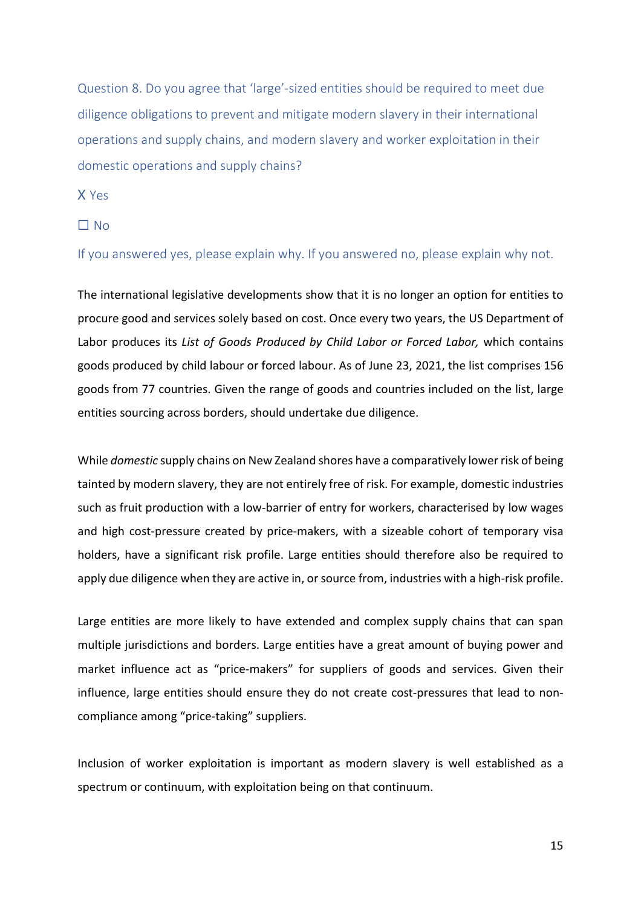Question 8. Do you agree that 'large'-sized entities should be required to meet due diligence obligations to prevent and mitigate modern slavery in their international operations and supply chains, and modern slavery and worker exploitation in their domestic operations and supply chains?

X Yes

### ☐ No

If you answered yes, please explain why. If you answered no, please explain why not.

The international legislative developments show that it is no longer an option for entities to procure good and services solely based on cost. Once every two years, the US Department of Labor produces its *List of Goods Produced by Child Labor or Forced Labor,* which contains goods produced by child labour or forced labour. As of June 23, 2021, the list comprises 156 goods from 77 countries. Given the range of goods and countries included on the list, large entities sourcing across borders, should undertake due diligence.

While *domestic* supply chains on New Zealand shores have a comparatively lower risk of being tainted by modern slavery, they are not entirely free of risk. For example, domestic industries such as fruit production with a low-barrier of entry for workers, characterised by low wages and high cost-pressure created by price-makers, with a sizeable cohort of temporary visa holders, have a significant risk profile. Large entities should therefore also be required to apply due diligence when they are active in, or source from, industries with a high-risk profile.

Large entities are more likely to have extended and complex supply chains that can span multiple jurisdictions and borders. Large entities have a great amount of buying power and market influence act as "price-makers" for suppliers of goods and services. Given their influence, large entities should ensure they do not create cost-pressures that lead to noncompliance among "price-taking" suppliers.

Inclusion of worker exploitation is important as modern slavery is well established as a spectrum or continuum, with exploitation being on that continuum.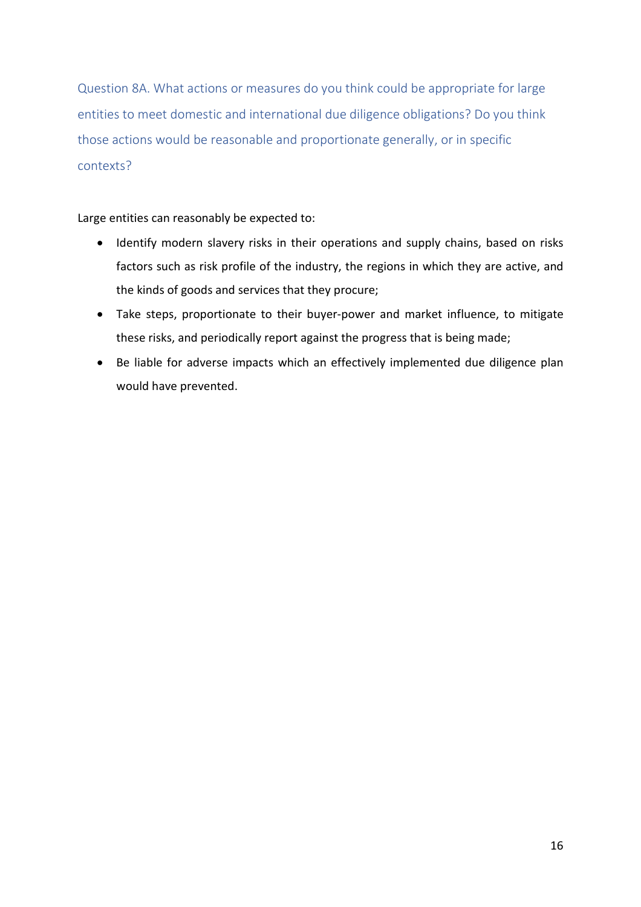Question 8A. What actions or measures do you think could be appropriate for large entities to meet domestic and international due diligence obligations? Do you think those actions would be reasonable and proportionate generally, or in specific contexts?

Large entities can reasonably be expected to:

- Identify modern slavery risks in their operations and supply chains, based on risks factors such as risk profile of the industry, the regions in which they are active, and the kinds of goods and services that they procure;
- Take steps, proportionate to their buyer-power and market influence, to mitigate these risks, and periodically report against the progress that is being made;
- Be liable for adverse impacts which an effectively implemented due diligence plan would have prevented.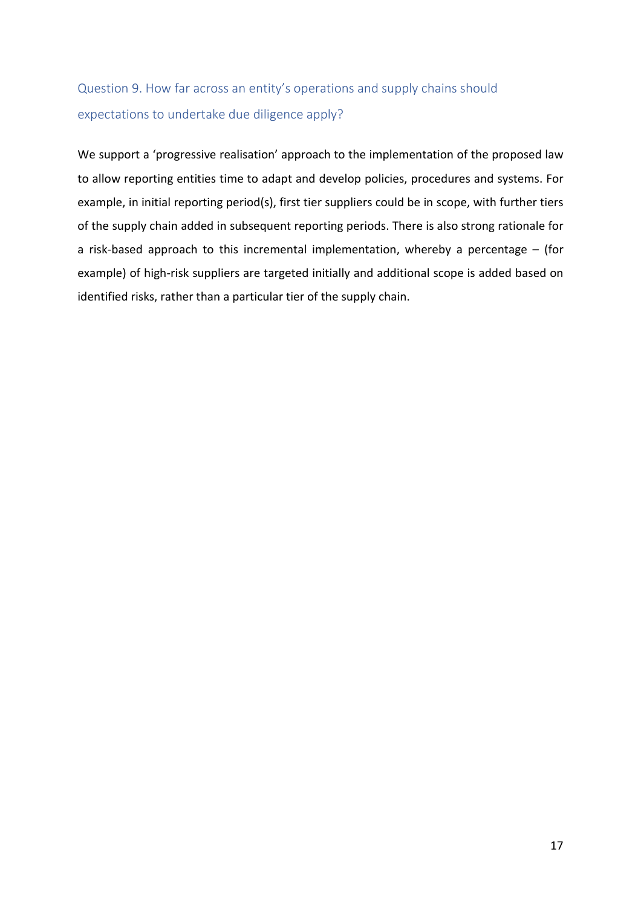# Question 9. How far across an entity's operations and supply chains should expectations to undertake due diligence apply?

We support a 'progressive realisation' approach to the implementation of the proposed law to allow reporting entities time to adapt and develop policies, procedures and systems. For example, in initial reporting period(s), first tier suppliers could be in scope, with further tiers of the supply chain added in subsequent reporting periods. There is also strong rationale for a risk-based approach to this incremental implementation, whereby a percentage – (for example) of high-risk suppliers are targeted initially and additional scope is added based on identified risks, rather than a particular tier of the supply chain.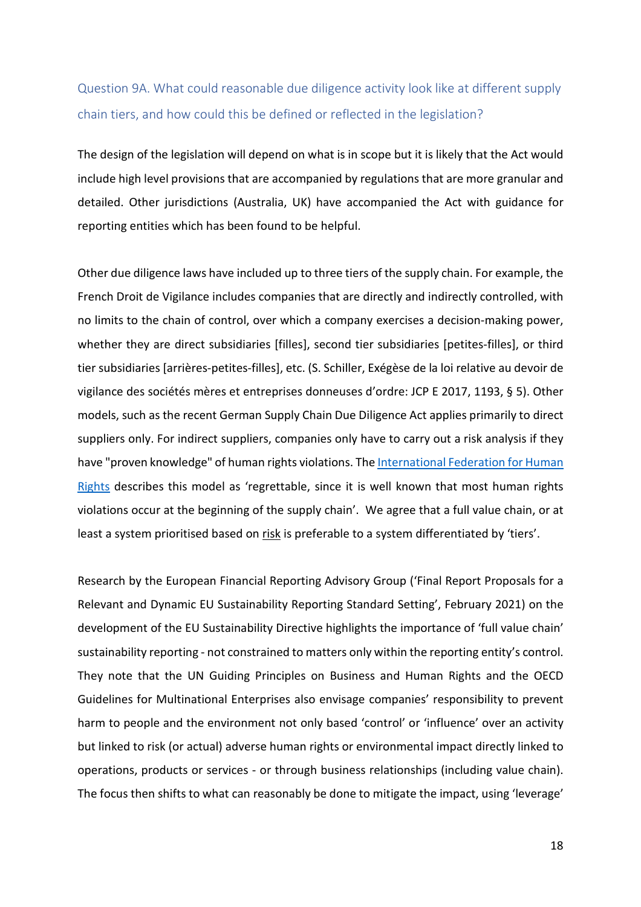## Question 9A. What could reasonable due diligence activity look like at different supply chain tiers, and how could this be defined or reflected in the legislation?

The design of the legislation will depend on what is in scope but it is likely that the Act would include high level provisions that are accompanied by regulations that are more granular and detailed. Other jurisdictions (Australia, UK) have accompanied the Act with guidance for reporting entities which has been found to be helpful.

Other due diligence laws have included up to three tiers of the supply chain. For example, the French Droit de Vigilance includes companies that are directly and indirectly controlled, with no limits to the chain of control, over which a company exercises a decision-making power, whether they are direct subsidiaries [filles], second tier subsidiaries [petites-filles], or third tier subsidiaries [arrières-petites-filles], etc. (S. Schiller, Exégèse de la loi relative au devoir de vigilance des sociétés mères et entreprises donneuses d'ordre: JCP E 2017, 1193, § 5). Other models, such as the recent German Supply Chain Due Diligence Act applies primarily to direct suppliers only. For indirect suppliers, companies only have to carry out a risk analysis if they have "proven knowledge" of human rights violations. The International Federation for Human Rights describes this model as 'regrettable, since it is well known that most human rights violations occur at the beginning of the supply chain'. We agree that a full value chain, or at least a system prioritised based on risk is preferable to a system differentiated by 'tiers'.

Research by the European Financial Reporting Advisory Group ('Final Report Proposals for a Relevant and Dynamic EU Sustainability Reporting Standard Setting', February 2021) on the development of the EU Sustainability Directive highlights the importance of 'full value chain' sustainability reporting - not constrained to matters only within the reporting entity's control. They note that the UN Guiding Principles on Business and Human Rights and the OECD Guidelines for Multinational Enterprises also envisage companies' responsibility to prevent harm to people and the environment not only based 'control' or 'influence' over an activity but linked to risk (or actual) adverse human rights or environmental impact directly linked to operations, products or services - or through business relationships (including value chain). The focus then shifts to what can reasonably be done to mitigate the impact, using 'leverage'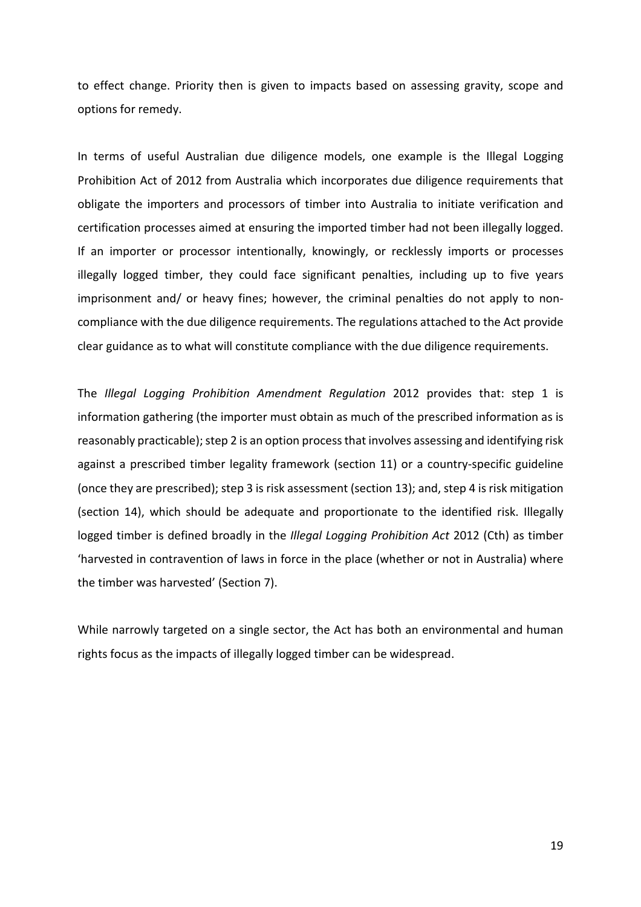to effect change. Priority then is given to impacts based on assessing gravity, scope and options for remedy.

In terms of useful Australian due diligence models, one example is the Illegal Logging Prohibition Act of 2012 from Australia which incorporates due diligence requirements that obligate the importers and processors of timber into Australia to initiate verification and certification processes aimed at ensuring the imported timber had not been illegally logged. If an importer or processor intentionally, knowingly, or recklessly imports or processes illegally logged timber, they could face significant penalties, including up to five years imprisonment and/ or heavy fines; however, the criminal penalties do not apply to noncompliance with the due diligence requirements. The regulations attached to the Act provide clear guidance as to what will constitute compliance with the due diligence requirements.

The *Illegal Logging Prohibition Amendment Regulation* 2012 provides that: step 1 is information gathering (the importer must obtain as much of the prescribed information as is reasonably practicable); step 2 is an option process that involves assessing and identifying risk against a prescribed timber legality framework (section 11) or a country-specific guideline (once they are prescribed); step 3 is risk assessment (section 13); and, step 4 is risk mitigation (section 14), which should be adequate and proportionate to the identified risk. Illegally logged timber is defined broadly in the *Illegal Logging Prohibition Act* 2012 (Cth) as timber 'harvested in contravention of laws in force in the place (whether or not in Australia) where the timber was harvested' (Section 7).

While narrowly targeted on a single sector, the Act has both an environmental and human rights focus as the impacts of illegally logged timber can be widespread.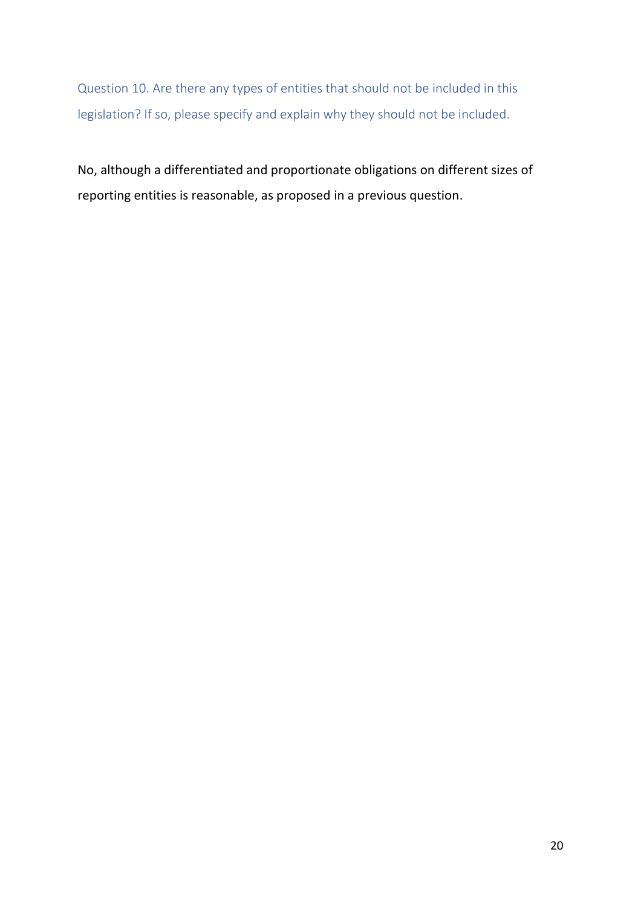Question 10. Are there any types of entities that should not be included in this legislation? If so, please specify and explain why they should not be included.

No, although a differentiated and proportionate obligations on different sizes of reporting entities is reasonable, as proposed in a previous question.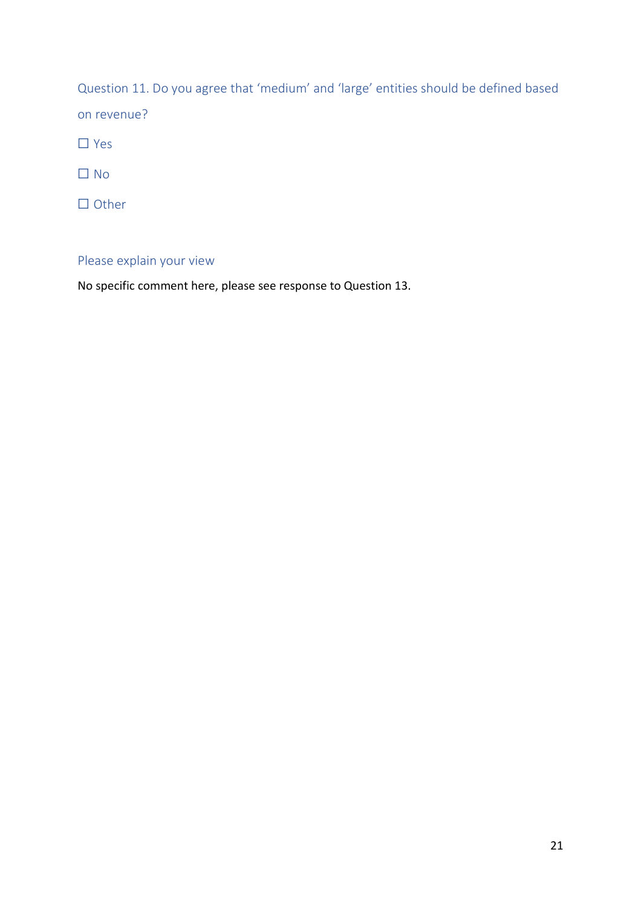Question 11. Do you agree that 'medium' and 'large' entities should be defined based on revenue?

☐ Yes

☐ No

☐ Other

## Please explain your view

No specific comment here, please see response to Question 13.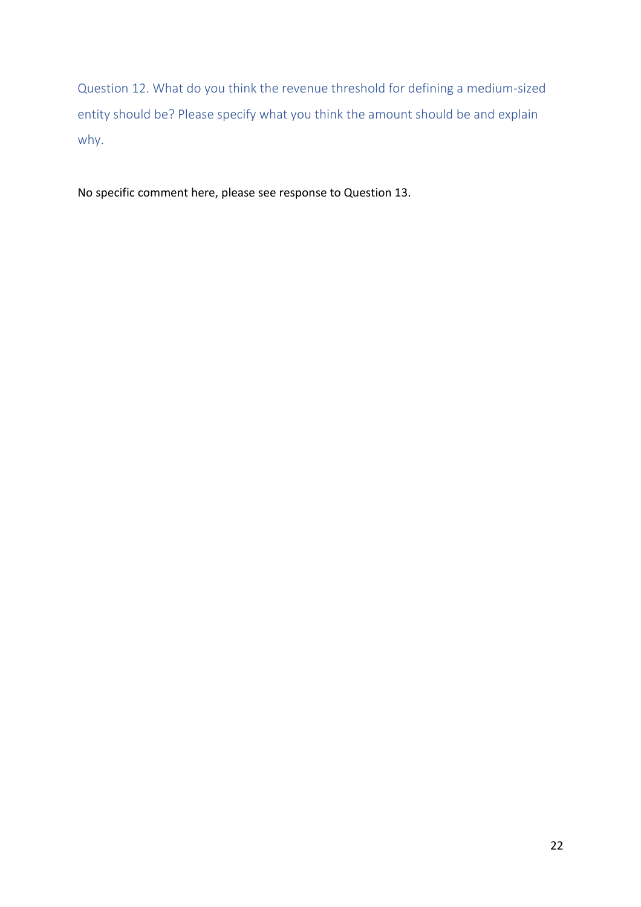Question 12. What do you think the revenue threshold for defining a medium-sized entity should be? Please specify what you think the amount should be and explain why.

No specific comment here, please see response to Question 13.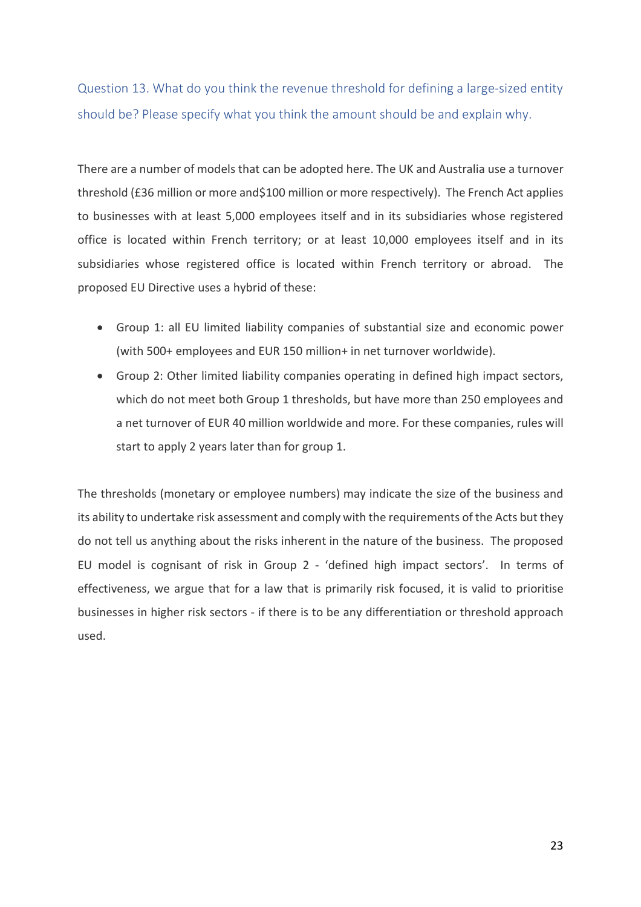Question 13. What do you think the revenue threshold for defining a large-sized entity should be? Please specify what you think the amount should be and explain why.

There are a number of models that can be adopted here. The UK and Australia use a turnover threshold (£36 million or more and\$100 million or more respectively). The French Act applies to businesses with at least 5,000 employees itself and in its subsidiaries whose registered office is located within French territory; or at least 10,000 employees itself and in its subsidiaries whose registered office is located within French territory or abroad. The proposed EU Directive uses a hybrid of these:

- Group 1: all EU limited liability companies of substantial size and economic power (with 500+ employees and EUR 150 million+ in net turnover worldwide).
- Group 2: Other limited liability companies operating in defined high impact sectors, which do not meet both Group 1 thresholds, but have more than 250 employees and a net turnover of EUR 40 million worldwide and more. For these companies, rules will start to apply 2 years later than for group 1.

The thresholds (monetary or employee numbers) may indicate the size of the business and its ability to undertake risk assessment and comply with the requirements of the Acts but they do not tell us anything about the risks inherent in the nature of the business. The proposed EU model is cognisant of risk in Group 2 - 'defined high impact sectors'. In terms of effectiveness, we argue that for a law that is primarily risk focused, it is valid to prioritise businesses in higher risk sectors - if there is to be any differentiation or threshold approach used.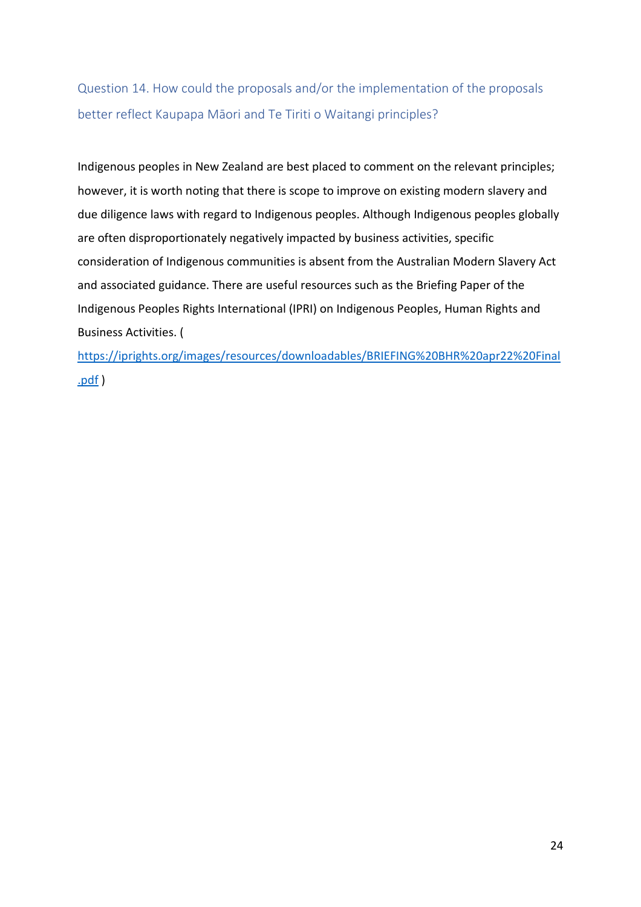Question 14. How could the proposals and/or the implementation of the proposals better reflect Kaupapa Māori and Te Tiriti o Waitangi principles?

Indigenous peoples in New Zealand are best placed to comment on the relevant principles; however, it is worth noting that there is scope to improve on existing modern slavery and due diligence laws with regard to Indigenous peoples. Although Indigenous peoples globally are often disproportionately negatively impacted by business activities, specific consideration of Indigenous communities is absent from the Australian Modern Slavery Act and associated guidance. There are useful resources such as the Briefing Paper of the Indigenous Peoples Rights International (IPRI) on Indigenous Peoples, Human Rights and Business Activities. (

[https://iprights.org/images/resources/downloadables/BRIEFING%20BHR%20apr22%20Final](https://iprights.org/images/resources/downloadables/BRIEFING%20BHR%20apr22%20Final.pdf) [.pdf](https://iprights.org/images/resources/downloadables/BRIEFING%20BHR%20apr22%20Final.pdf) )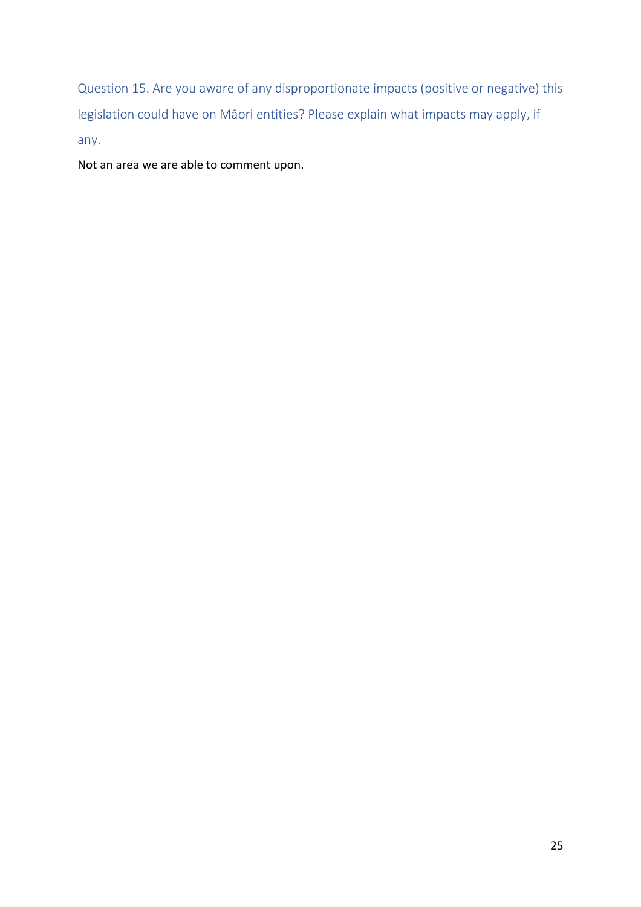Question 15. Are you aware of any disproportionate impacts (positive or negative) this legislation could have on Māori entities? Please explain what impacts may apply, if any.

Not an area we are able to comment upon.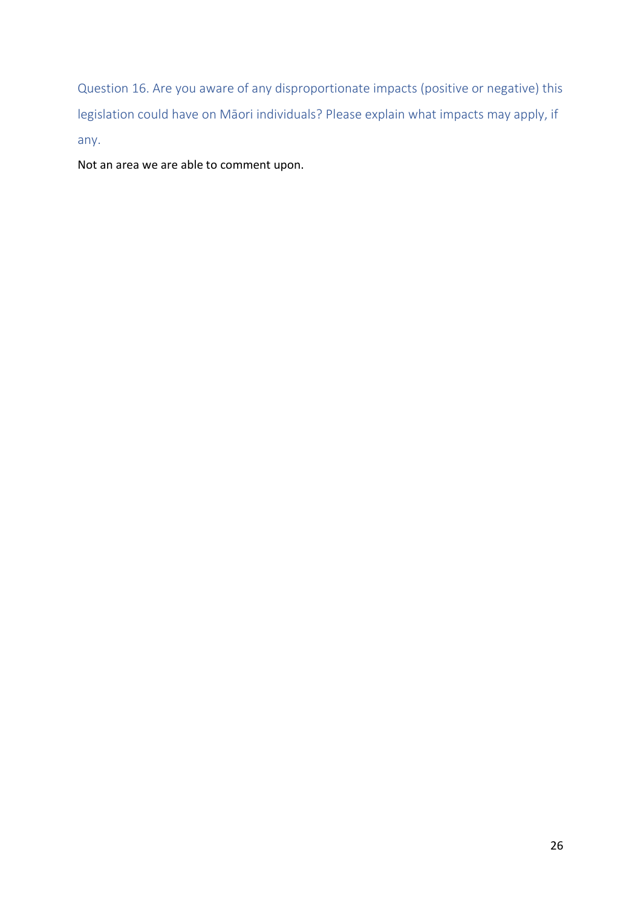Question 16. Are you aware of any disproportionate impacts (positive or negative) this legislation could have on Māori individuals? Please explain what impacts may apply, if any.

Not an area we are able to comment upon.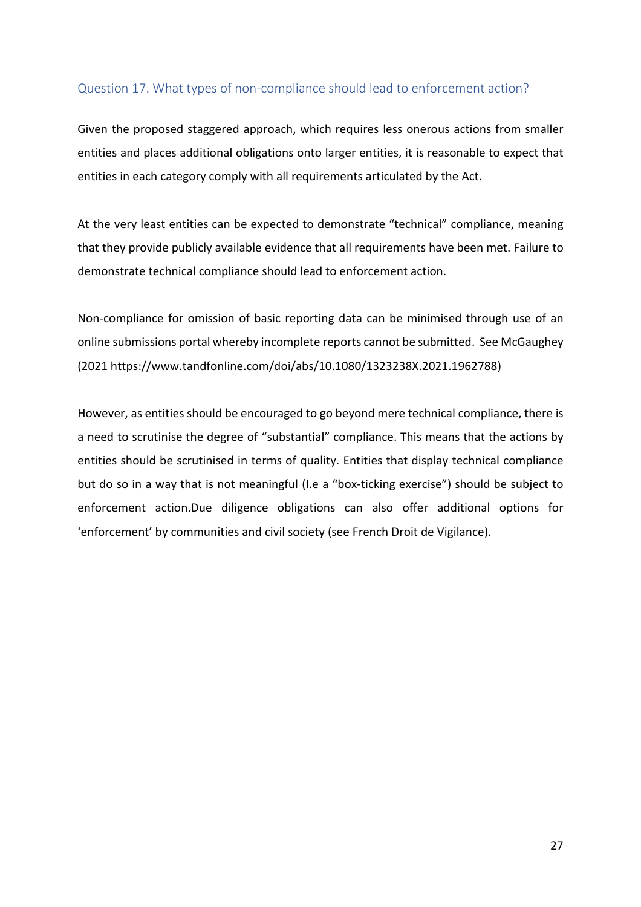### Question 17. What types of non-compliance should lead to enforcement action?

Given the proposed staggered approach, which requires less onerous actions from smaller entities and places additional obligations onto larger entities, it is reasonable to expect that entities in each category comply with all requirements articulated by the Act.

At the very least entities can be expected to demonstrate "technical" compliance, meaning that they provide publicly available evidence that all requirements have been met. Failure to demonstrate technical compliance should lead to enforcement action.

Non-compliance for omission of basic reporting data can be minimised through use of an online submissions portal whereby incomplete reports cannot be submitted. See McGaughey (2021 https://www.tandfonline.com/doi/abs/10.1080/1323238X.2021.1962788)

However, as entities should be encouraged to go beyond mere technical compliance, there is a need to scrutinise the degree of "substantial" compliance. This means that the actions by entities should be scrutinised in terms of quality. Entities that display technical compliance but do so in a way that is not meaningful (I.e a "box-ticking exercise") should be subject to enforcement action.Due diligence obligations can also offer additional options for 'enforcement' by communities and civil society (see French Droit de Vigilance).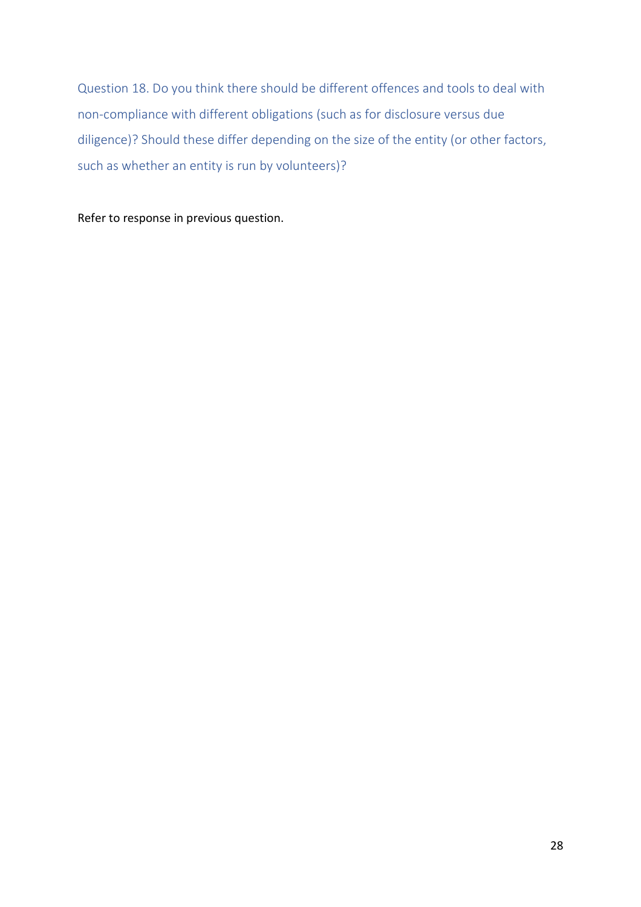Question 18. Do you think there should be different offences and tools to deal with non-compliance with different obligations (such as for disclosure versus due diligence)? Should these differ depending on the size of the entity (or other factors, such as whether an entity is run by volunteers)?

Refer to response in previous question.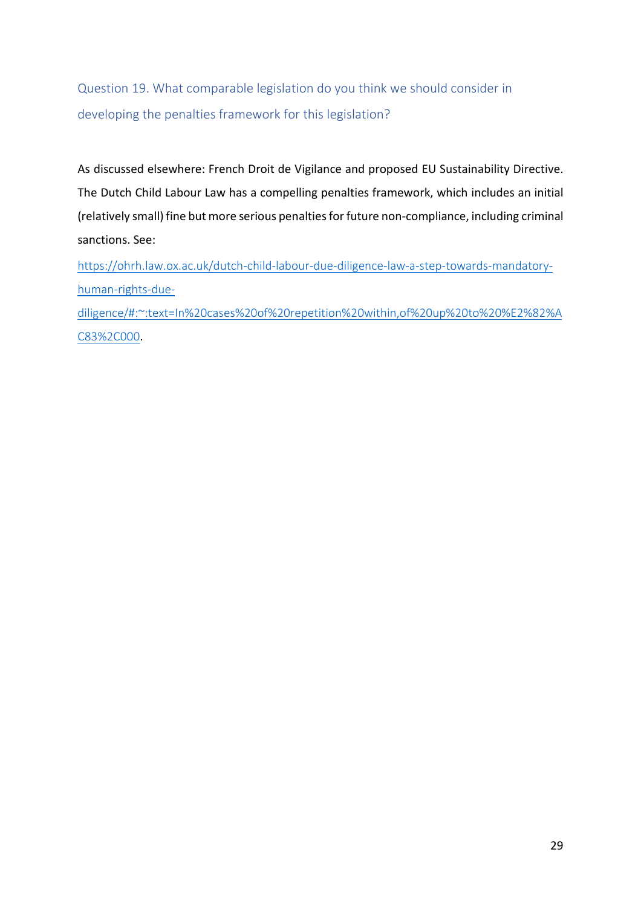Question 19. What comparable legislation do you think we should consider in developing the penalties framework for this legislation?

As discussed elsewhere: French Droit de Vigilance and proposed EU Sustainability Directive. The Dutch Child Labour Law has a compelling penalties framework, which includes an initial (relatively small) fine but more serious penalties for future non-compliance, including criminal sanctions. See:

[https://ohrh.law.ox.ac.uk/dutch-child-labour-due-diligence-law-a-step-towards-mandatory](https://ohrh.law.ox.ac.uk/dutch-child-labour-due-diligence-law-a-step-towards-mandatory-human-rights-due-diligence/#:%7E:text=In%20cases%20of%20repetition%20within,of%20up%20to%20%E2%82%AC83%2C000)[human-rights-due-](https://ohrh.law.ox.ac.uk/dutch-child-labour-due-diligence-law-a-step-towards-mandatory-human-rights-due-diligence/#:%7E:text=In%20cases%20of%20repetition%20within,of%20up%20to%20%E2%82%AC83%2C000)

[diligence/#:~:text=In%20cases%20of%20repetition%20within,of%20up%20to%20%E2%82%A](https://ohrh.law.ox.ac.uk/dutch-child-labour-due-diligence-law-a-step-towards-mandatory-human-rights-due-diligence/#:%7E:text=In%20cases%20of%20repetition%20within,of%20up%20to%20%E2%82%AC83%2C000) [C83%2C000](https://ohrh.law.ox.ac.uk/dutch-child-labour-due-diligence-law-a-step-towards-mandatory-human-rights-due-diligence/#:%7E:text=In%20cases%20of%20repetition%20within,of%20up%20to%20%E2%82%AC83%2C000).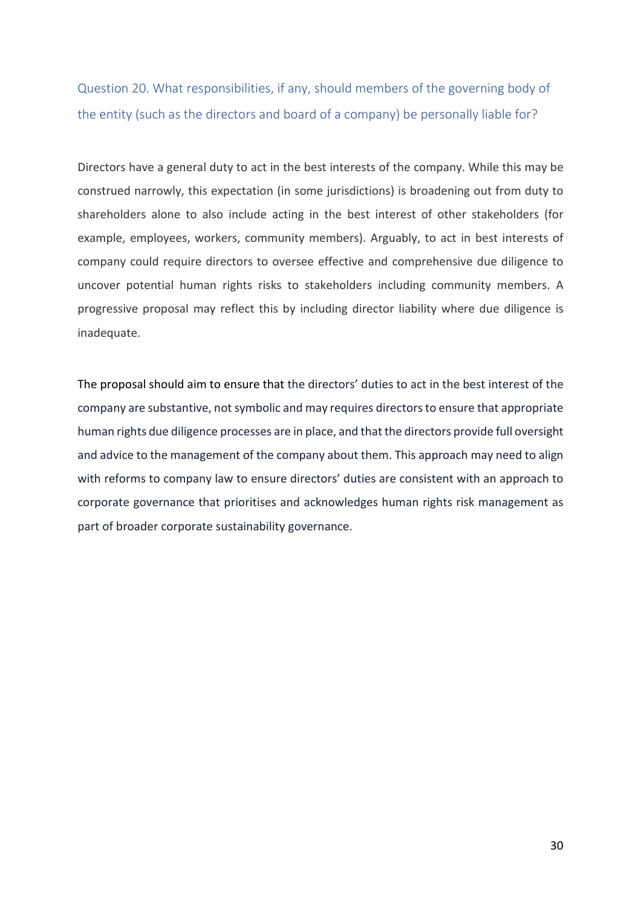Question 20. What responsibilities, if any, should members of the governing body of the entity (such as the directors and board of a company) be personally liable for?

Directors have a general duty to act in the best interests of the company. While this may be construed narrowly, this expectation (in some jurisdictions) is broadening out from duty to shareholders alone to also include acting in the best interest of other stakeholders (for example, employees, workers, community members). Arguably, to act in best interests of company could require directors to oversee effective and comprehensive due diligence to uncover potential human rights risks to stakeholders including community members. A progressive proposal may reflect this by including director liability where due diligence is inadequate.

The proposal should aim to ensure that the directors' duties to act in the best interest of the company are substantive, not symbolic and may requires directors to ensure that appropriate human rights due diligence processes are in place, and that the directors provide full oversight and advice to the management of the company about them. This approach may need to align with reforms to company law to ensure directors' duties are consistent with an approach to corporate governance that prioritises and acknowledges human rights risk management as part of broader corporate sustainability governance.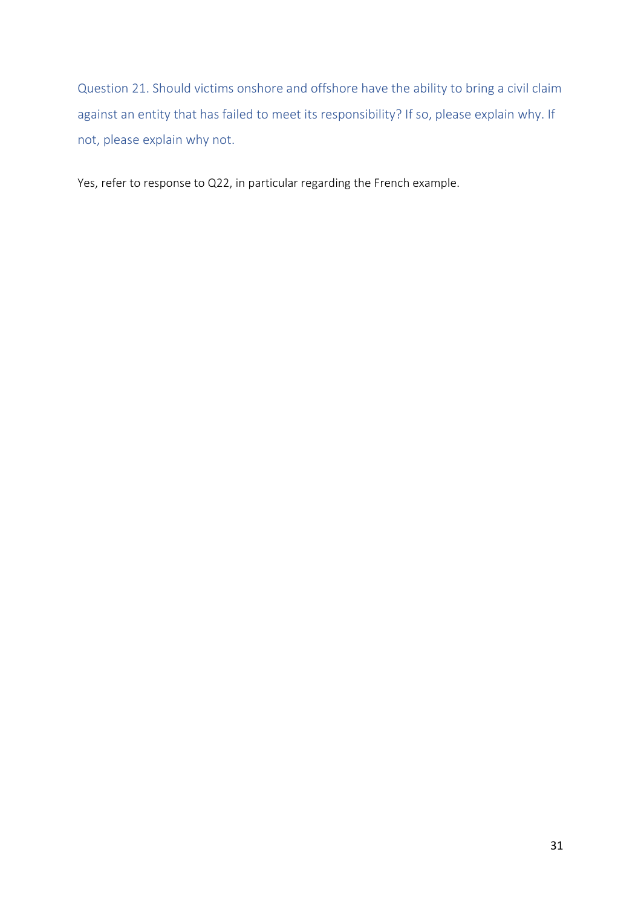Question 21. Should victims onshore and offshore have the ability to bring a civil claim against an entity that has failed to meet its responsibility? If so, please explain why. If not, please explain why not.

Yes, refer to response to Q22, in particular regarding the French example.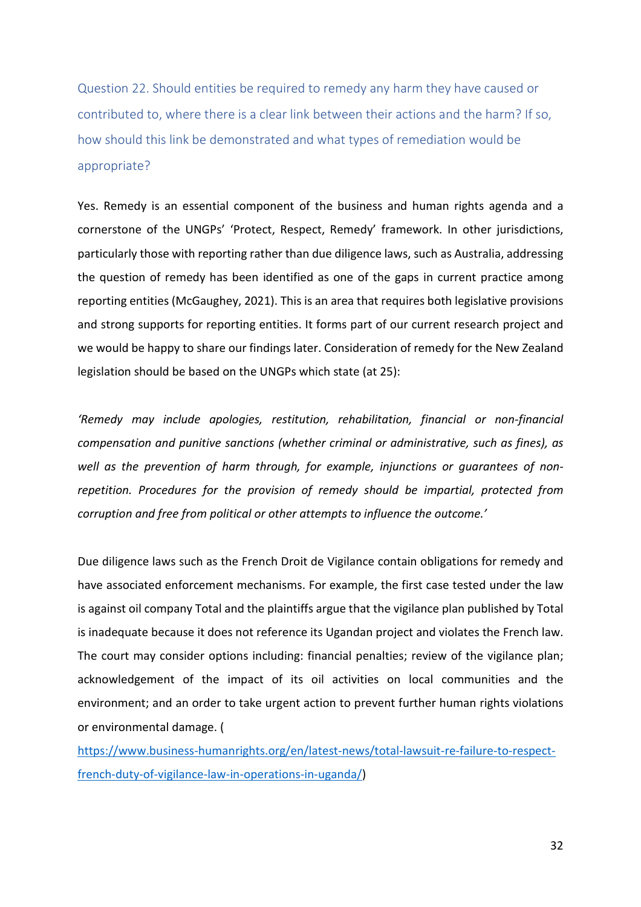Question 22. Should entities be required to remedy any harm they have caused or contributed to, where there is a clear link between their actions and the harm? If so, how should this link be demonstrated and what types of remediation would be appropriate?

Yes. Remedy is an essential component of the business and human rights agenda and a cornerstone of the UNGPs' 'Protect, Respect, Remedy' framework. In other jurisdictions, particularly those with reporting rather than due diligence laws, such as Australia, addressing the question of remedy has been identified as one of the gaps in current practice among reporting entities (McGaughey, 2021). This is an area that requires both legislative provisions and strong supports for reporting entities. It forms part of our current research project and we would be happy to share our findings later. Consideration of remedy for the New Zealand legislation should be based on the UNGPs which state (at 25):

*'Remedy may include apologies, restitution, rehabilitation, financial or non-financial compensation and punitive sanctions (whether criminal or administrative, such as fines), as well as the prevention of harm through, for example, injunctions or guarantees of nonrepetition. Procedures for the provision of remedy should be impartial, protected from corruption and free from political or other attempts to influence the outcome.'*

Due diligence laws such as the French Droit de Vigilance contain obligations for remedy and have associated enforcement mechanisms. For example, the first case tested under the law is against oil company Total and the plaintiffs argue that the vigilance plan published by Total is inadequate because it does not reference its Ugandan project and violates the French law. The court may consider options including: financial penalties; review of the vigilance plan; acknowledgement of the impact of its oil activities on local communities and the environment; and an order to take urgent action to prevent further human rights violations or environmental damage. (

[https://www.business-humanrights.org/en/latest-news/total-lawsuit-re-failure-to-respect](https://www.business-humanrights.org/en/latest-news/total-lawsuit-re-failure-to-respect-french-duty-of-vigilance-law-in-operations-in-uganda/)[french-duty-of-vigilance-law-in-operations-in-uganda/\)](https://www.business-humanrights.org/en/latest-news/total-lawsuit-re-failure-to-respect-french-duty-of-vigilance-law-in-operations-in-uganda/)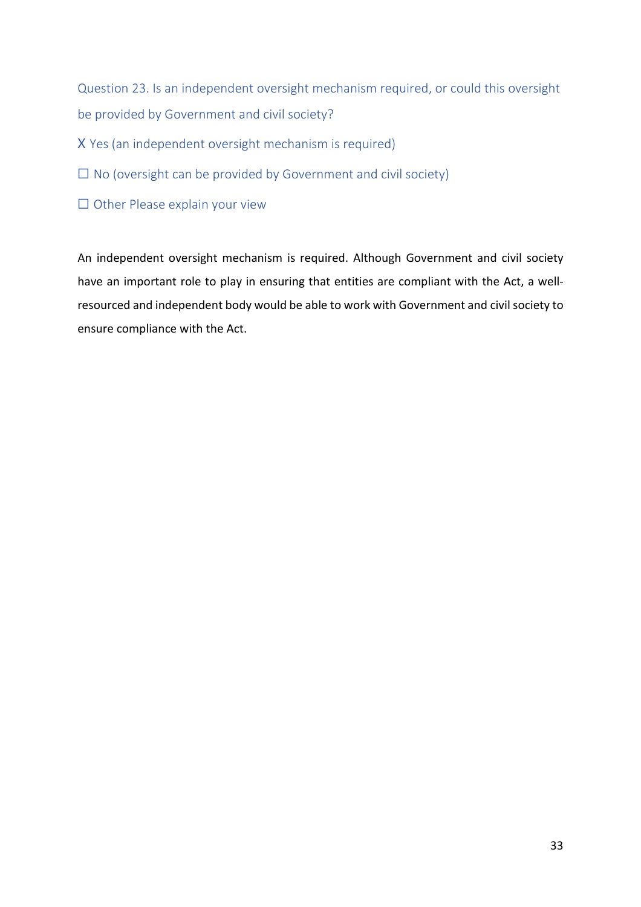Question 23. Is an independent oversight mechanism required, or could this oversight be provided by Government and civil society?

- X Yes (an independent oversight mechanism is required)
- $\Box$  No (oversight can be provided by Government and civil society)
- ☐ Other Please explain your view

An independent oversight mechanism is required. Although Government and civil society have an important role to play in ensuring that entities are compliant with the Act, a wellresourced and independent body would be able to work with Government and civil society to ensure compliance with the Act.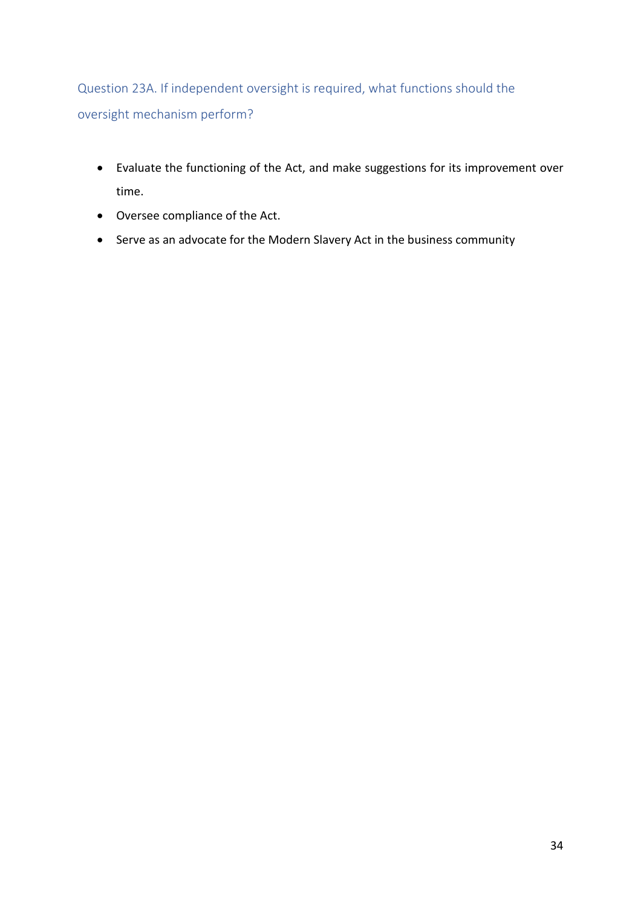Question 23A. If independent oversight is required, what functions should the oversight mechanism perform?

- Evaluate the functioning of the Act, and make suggestions for its improvement over time.
- Oversee compliance of the Act.
- Serve as an advocate for the Modern Slavery Act in the business community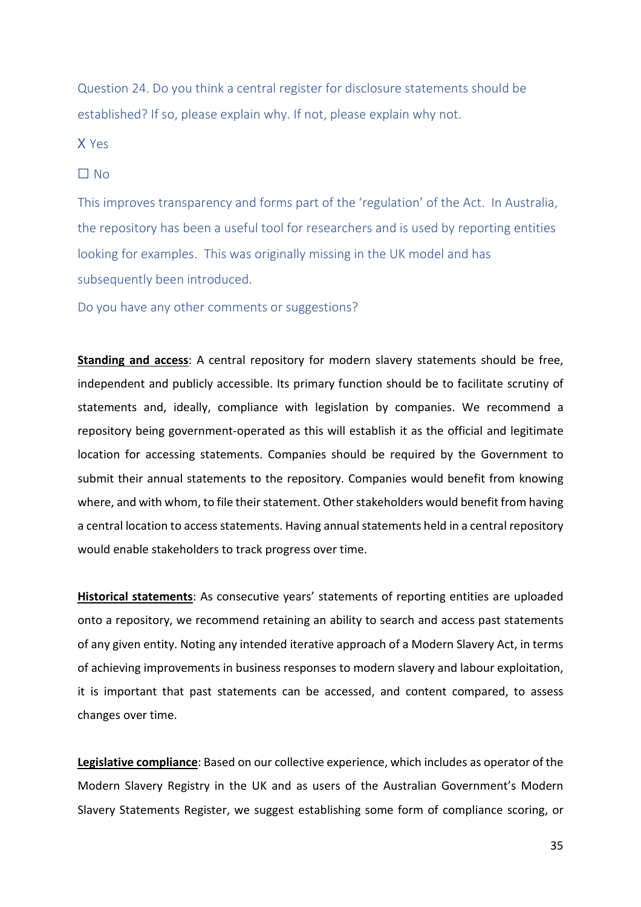Question 24. Do you think a central register for disclosure statements should be established? If so, please explain why. If not, please explain why not.

X Yes

### $\Box$  No

This improves transparency and forms part of the 'regulation' of the Act. In Australia, the repository has been a useful tool for researchers and is used by reporting entities looking for examples. This was originally missing in the UK model and has subsequently been introduced.

Do you have any other comments or suggestions?

**Standing and access**: A central repository for modern slavery statements should be free, independent and publicly accessible. Its primary function should be to facilitate scrutiny of statements and, ideally, compliance with legislation by companies. We recommend a repository being government-operated as this will establish it as the official and legitimate location for accessing statements. Companies should be required by the Government to submit their annual statements to the repository. Companies would benefit from knowing where, and with whom, to file their statement. Other stakeholders would benefit from having a central location to access statements. Having annual statements held in a central repository would enable stakeholders to track progress over time.

**Historical statements**: As consecutive years' statements of reporting entities are uploaded onto a repository, we recommend retaining an ability to search and access past statements of any given entity. Noting any intended iterative approach of a Modern Slavery Act, in terms of achieving improvements in business responses to modern slavery and labour exploitation, it is important that past statements can be accessed, and content compared, to assess changes over time.

**Legislative compliance**: Based on our collective experience, which includes as operator of the Modern Slavery Registry in the UK and as users of the Australian Government's Modern Slavery Statements Register, we suggest establishing some form of compliance scoring, or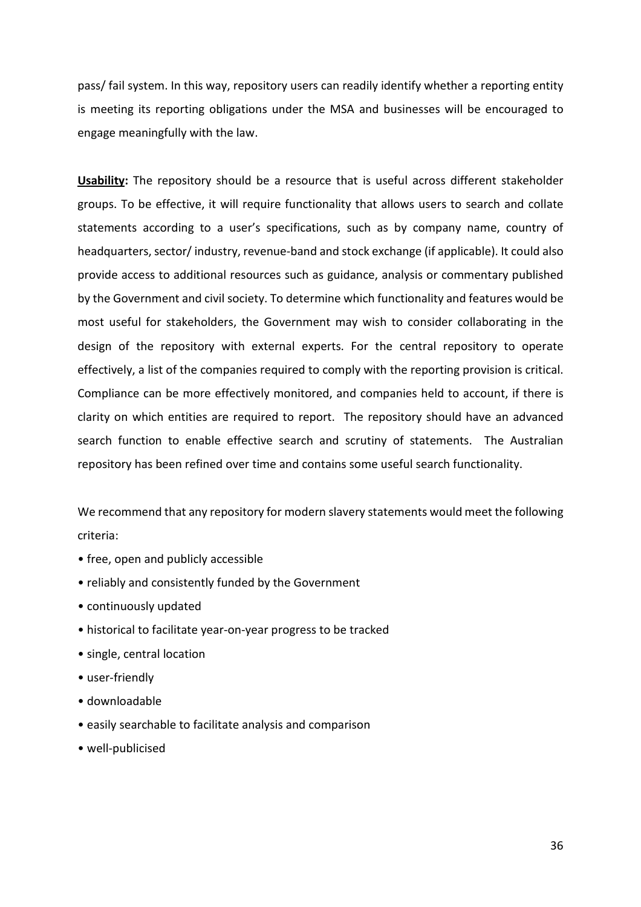pass/ fail system. In this way, repository users can readily identify whether a reporting entity is meeting its reporting obligations under the MSA and businesses will be encouraged to engage meaningfully with the law.

**Usability:** The repository should be a resource that is useful across different stakeholder groups. To be effective, it will require functionality that allows users to search and collate statements according to a user's specifications, such as by company name, country of headquarters, sector/ industry, revenue-band and stock exchange (if applicable). It could also provide access to additional resources such as guidance, analysis or commentary published by the Government and civil society. To determine which functionality and features would be most useful for stakeholders, the Government may wish to consider collaborating in the design of the repository with external experts. For the central repository to operate effectively, a list of the companies required to comply with the reporting provision is critical. Compliance can be more effectively monitored, and companies held to account, if there is clarity on which entities are required to report. The repository should have an advanced search function to enable effective search and scrutiny of statements. The Australian repository has been refined over time and contains some useful search functionality.

We recommend that any repository for modern slavery statements would meet the following criteria:

- free, open and publicly accessible
- reliably and consistently funded by the Government
- continuously updated
- historical to facilitate year-on-year progress to be tracked
- single, central location
- user-friendly
- downloadable
- easily searchable to facilitate analysis and comparison
- well-publicised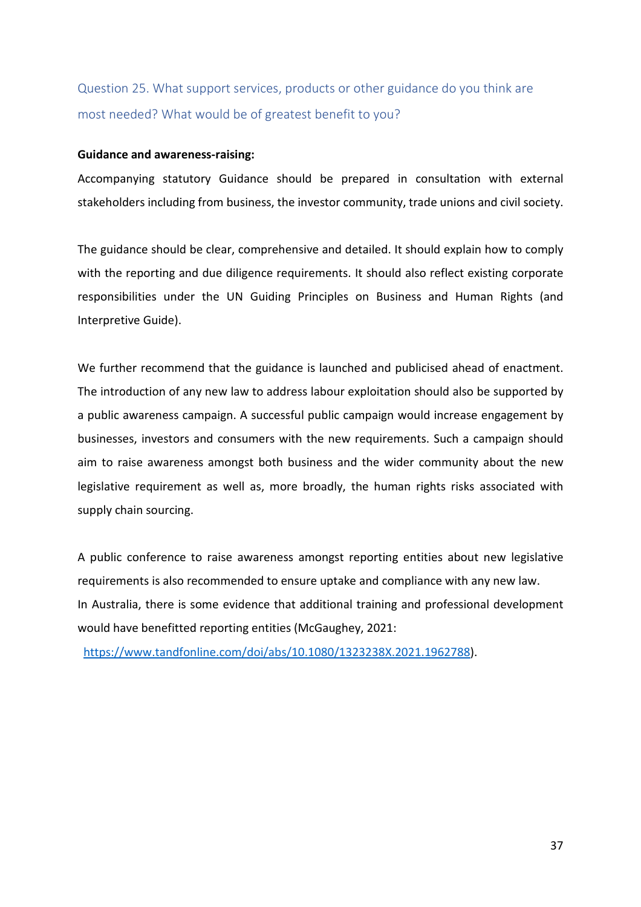## Question 25. What support services, products or other guidance do you think are most needed? What would be of greatest benefit to you?

### **Guidance and awareness-raising:**

Accompanying statutory Guidance should be prepared in consultation with external stakeholders including from business, the investor community, trade unions and civil society.

The guidance should be clear, comprehensive and detailed. It should explain how to comply with the reporting and due diligence requirements. It should also reflect existing corporate responsibilities under the UN Guiding Principles on Business and Human Rights (and Interpretive Guide).

We further recommend that the guidance is launched and publicised ahead of enactment. The introduction of any new law to address labour exploitation should also be supported by a public awareness campaign. A successful public campaign would increase engagement by businesses, investors and consumers with the new requirements. Such a campaign should aim to raise awareness amongst both business and the wider community about the new legislative requirement as well as, more broadly, the human rights risks associated with supply chain sourcing.

A public conference to raise awareness amongst reporting entities about new legislative requirements is also recommended to ensure uptake and compliance with any new law. In Australia, there is some evidence that additional training and professional development would have benefitted reporting entities (McGaughey, 2021:

[https://www.tandfonline.com/doi/abs/10.1080/1323238X.2021.1962788\)](https://www.tandfonline.com/doi/abs/10.1080/1323238X.2021.1962788).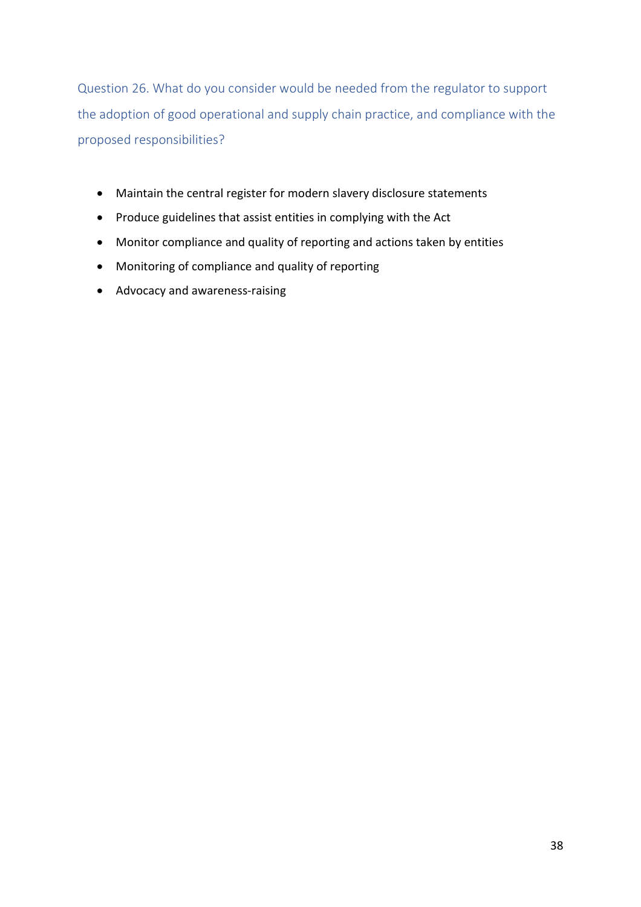Question 26. What do you consider would be needed from the regulator to support the adoption of good operational and supply chain practice, and compliance with the proposed responsibilities?

- Maintain the central register for modern slavery disclosure statements
- Produce guidelines that assist entities in complying with the Act
- Monitor compliance and quality of reporting and actions taken by entities
- Monitoring of compliance and quality of reporting
- Advocacy and awareness-raising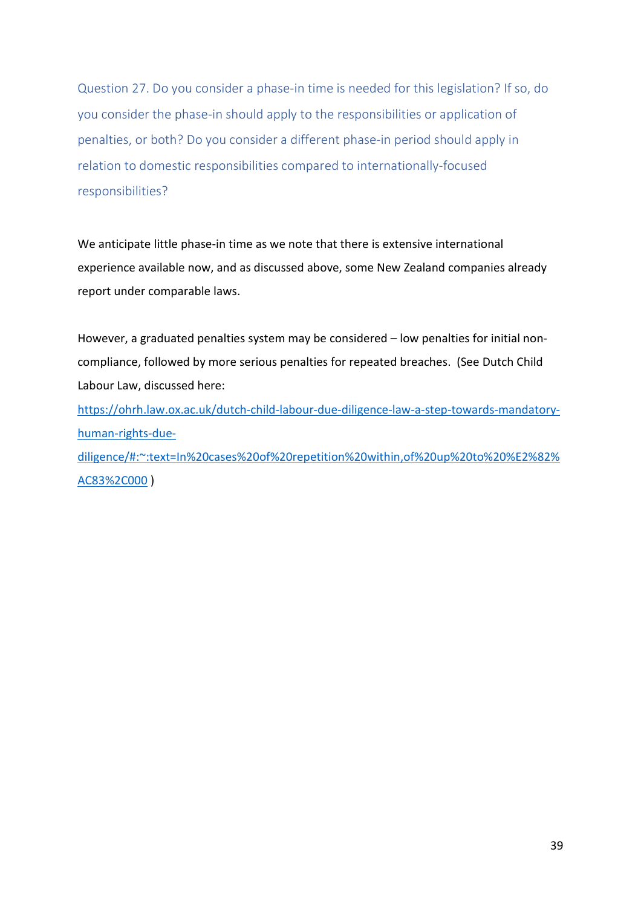Question 27. Do you consider a phase-in time is needed for this legislation? If so, do you consider the phase-in should apply to the responsibilities or application of penalties, or both? Do you consider a different phase-in period should apply in relation to domestic responsibilities compared to internationally-focused responsibilities?

We anticipate little phase-in time as we note that there is extensive international experience available now, and as discussed above, some New Zealand companies already report under comparable laws.

However, a graduated penalties system may be considered – low penalties for initial noncompliance, followed by more serious penalties for repeated breaches. (See Dutch Child Labour Law, discussed here:

https://ohrh.law.ox.ac.uk/dutch-child-labour-due-diligence-law-a-step-towards-mandatoryhuman-rights-due-

diligence/#:~:text=In%20cases%20of%20repetition%20within,of%20up%20to%20%E2%82% AC83%2C000 )